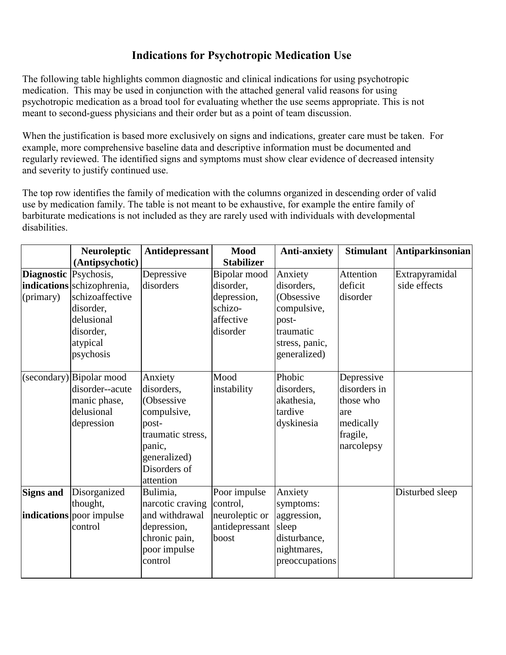# **Indications for Psychotropic Medication Use**

The following table highlights common diagnostic and clinical indications for using psychotropic medication. This may be used in conjunction with the attached general valid reasons for using psychotropic medication as a broad tool for evaluating whether the use seems appropriate. This is not meant to second-guess physicians and their order but as a point of team discussion.

When the justification is based more exclusively on signs and indications, greater care must be taken. For example, more comprehensive baseline data and descriptive information must be documented and regularly reviewed. The identified signs and symptoms must show clear evidence of decreased intensity and severity to justify continued use.

The top row identifies the family of medication with the columns organized in descending order of valid use by medication family. The table is not meant to be exhaustive, for example the entire family of barbiturate medications is not included as they are rarely used with individuals with developmental disabilities.

|                                           | <b>Neuroleptic</b>                                                                                             | Antidepressant                                                                                                                          | <b>Mood</b>                                                                  | <b>Anti-anxiety</b>                                                                                        | <b>Stimulant</b>                                                                      | <b>Antiparkinsonian</b>        |
|-------------------------------------------|----------------------------------------------------------------------------------------------------------------|-----------------------------------------------------------------------------------------------------------------------------------------|------------------------------------------------------------------------------|------------------------------------------------------------------------------------------------------------|---------------------------------------------------------------------------------------|--------------------------------|
|                                           | (Antipsychotic)                                                                                                |                                                                                                                                         | <b>Stabilizer</b>                                                            |                                                                                                            |                                                                                       |                                |
| <b>Diagnostic</b> Psychosis,<br>(primary) | indications schizophrenia,<br>schizoaffective<br>disorder,<br>delusional<br>disorder,<br>atypical<br>psychosis | Depressive<br>disorders                                                                                                                 | Bipolar mood<br>disorder,<br>depression,<br>schizo-<br>affective<br>disorder | Anxiety<br>disorders,<br>(Obsessive<br>compulsive,<br>post-<br>traumatic<br>stress, panic,<br>generalized) | Attention<br>deficit<br>disorder                                                      | Extrapyramidal<br>side effects |
|                                           | (secondary) Bipolar mood<br>disorder--acute<br>manic phase,<br>delusional<br>depression                        | Anxiety<br>disorders,<br>(Obsessive<br>compulsive,<br>post-<br>traumatic stress,<br>panic,<br>generalized)<br>Disorders of<br>attention | Mood<br>instability                                                          | Phobic<br>disorders,<br>akathesia,<br>tardive<br>dyskinesia                                                | Depressive<br>disorders in<br>those who<br>are<br>medically<br>fragile,<br>narcolepsy |                                |
| <b>Signs and</b>                          | Disorganized<br>thought,                                                                                       | Bulimia,<br>narcotic craving                                                                                                            | Poor impulse<br>control,                                                     | Anxiety<br>symptoms:                                                                                       |                                                                                       | Disturbed sleep                |
|                                           | <b>indications</b> poor impulse<br>control                                                                     | and withdrawal<br>depression,<br>chronic pain,<br>poor impulse<br>control                                                               | neuroleptic or<br>antidepressant<br>boost                                    | aggression,<br>sleep<br>disturbance,<br>nightmares,<br>preoccupations                                      |                                                                                       |                                |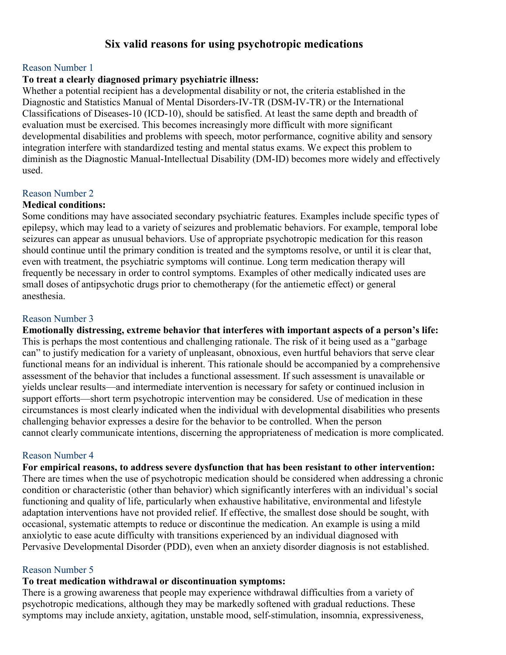# **Six valid reasons for using psychotropic medications**

#### Reason Number 1

#### **To treat a clearly diagnosed primary psychiatric illness:**

Whether a potential recipient has a developmental disability or not, the criteria established in the Diagnostic and Statistics Manual of Mental Disorders-IV-TR (DSM-IV-TR) or the International Classifications of Diseases-10 (ICD-10), should be satisfied. At least the same depth and breadth of evaluation must be exercised. This becomes increasingly more difficult with more significant developmental disabilities and problems with speech, motor performance, cognitive ability and sensory integration interfere with standardized testing and mental status exams. We expect this problem to diminish as the Diagnostic Manual-Intellectual Disability (DM-ID) becomes more widely and effectively used.

#### Reason Number 2

#### **Medical conditions:**

Some conditions may have associated secondary psychiatric features. Examples include specific types of epilepsy, which may lead to a variety of seizures and problematic behaviors. For example, temporal lobe seizures can appear as unusual behaviors. Use of appropriate psychotropic medication for this reason should continue until the primary condition is treated and the symptoms resolve, or until it is clear that, even with treatment, the psychiatric symptoms will continue. Long term medication therapy will frequently be necessary in order to control symptoms. Examples of other medically indicated uses are small doses of antipsychotic drugs prior to chemotherapy (for the antiemetic effect) or general anesthesia.

#### Reason Number 3

**Emotionally distressing, extreme behavior that interferes with important aspects of a person's life:**  This is perhaps the most contentious and challenging rationale. The risk of it being used as a "garbage can" to justify medication for a variety of unpleasant, obnoxious, even hurtful behaviors that serve clear functional means for an individual is inherent. This rationale should be accompanied by a comprehensive assessment of the behavior that includes a functional assessment. If such assessment is unavailable or yields unclear results—and intermediate intervention is necessary for safety or continued inclusion in support efforts—short term psychotropic intervention may be considered. Use of medication in these circumstances is most clearly indicated when the individual with developmental disabilities who presents challenging behavior expresses a desire for the behavior to be controlled. When the person cannot clearly communicate intentions, discerning the appropriateness of medication is more complicated.

#### Reason Number 4

**For empirical reasons, to address severe dysfunction that has been resistant to other intervention:**  There are times when the use of psychotropic medication should be considered when addressing a chronic condition or characteristic (other than behavior) which significantly interferes with an individual's social functioning and quality of life, particularly when exhaustive habilitative, environmental and lifestyle adaptation interventions have not provided relief. If effective, the smallest dose should be sought, with occasional, systematic attempts to reduce or discontinue the medication. An example is using a mild anxiolytic to ease acute difficulty with transitions experienced by an individual diagnosed with Pervasive Developmental Disorder (PDD), even when an anxiety disorder diagnosis is not established.

#### Reason Number 5

#### **To treat medication withdrawal or discontinuation symptoms:**

There is a growing awareness that people may experience withdrawal difficulties from a variety of psychotropic medications, although they may be markedly softened with gradual reductions. These symptoms may include anxiety, agitation, unstable mood, self-stimulation, insomnia, expressiveness,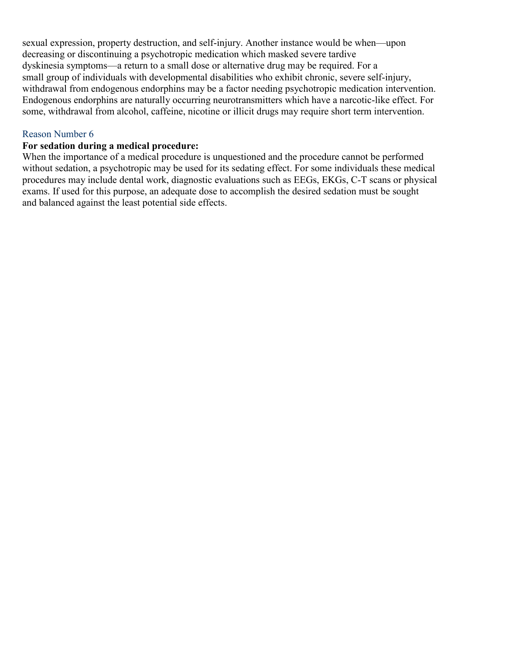sexual expression, property destruction, and self-injury. Another instance would be when—upon decreasing or discontinuing a psychotropic medication which masked severe tardive dyskinesia symptoms—a return to a small dose or alternative drug may be required. For a small group of individuals with developmental disabilities who exhibit chronic, severe self-injury, withdrawal from endogenous endorphins may be a factor needing psychotropic medication intervention. Endogenous endorphins are naturally occurring neurotransmitters which have a narcotic-like effect. For some, withdrawal from alcohol, caffeine, nicotine or illicit drugs may require short term intervention.

#### Reason Number 6

#### **For sedation during a medical procedure:**

When the importance of a medical procedure is unquestioned and the procedure cannot be performed without sedation, a psychotropic may be used for its sedating effect. For some individuals these medical procedures may include dental work, diagnostic evaluations such as EEGs, EKGs, C-T scans or physical exams. If used for this purpose, an adequate dose to accomplish the desired sedation must be sought and balanced against the least potential side effects.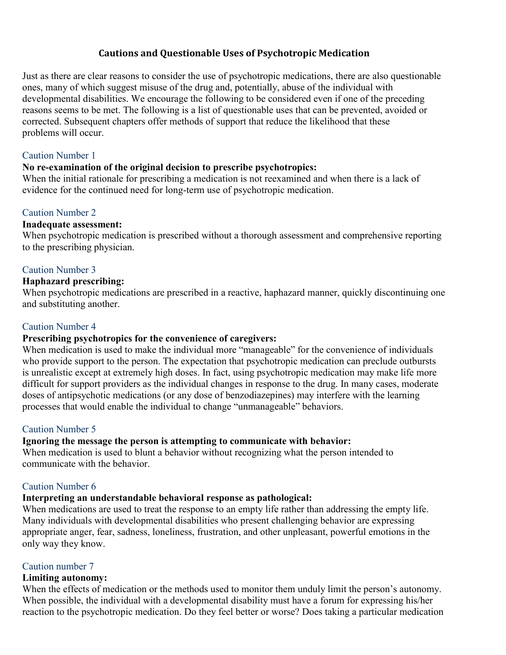#### **Cautions and Questionable Uses of Psychotropic Medication**

Just as there are clear reasons to consider the use of psychotropic medications, there are also questionable ones, many of which suggest misuse of the drug and, potentially, abuse of the individual with developmental disabilities. We encourage the following to be considered even if one of the preceding reasons seems to be met. The following is a list of questionable uses that can be prevented, avoided or corrected. Subsequent chapters offer methods of support that reduce the likelihood that these problems will occur.

#### Caution Number 1

#### **No re-examination of the original decision to prescribe psychotropics:**

When the initial rationale for prescribing a medication is not reexamined and when there is a lack of evidence for the continued need for long-term use of psychotropic medication.

### Caution Number 2

#### **Inadequate assessment:**

When psychotropic medication is prescribed without a thorough assessment and comprehensive reporting to the prescribing physician.

#### Caution Number 3

#### **Haphazard prescribing:**

When psychotropic medications are prescribed in a reactive, haphazard manner, quickly discontinuing one and substituting another.

#### Caution Number 4

#### **Prescribing psychotropics for the convenience of caregivers:**

When medication is used to make the individual more "manageable" for the convenience of individuals who provide support to the person. The expectation that psychotropic medication can preclude outbursts is unrealistic except at extremely high doses. In fact, using psychotropic medication may make life more difficult for support providers as the individual changes in response to the drug. In many cases, moderate doses of antipsychotic medications (or any dose of benzodiazepines) may interfere with the learning processes that would enable the individual to change "unmanageable" behaviors.

#### Caution Number 5

#### **Ignoring the message the person is attempting to communicate with behavior:**

When medication is used to blunt a behavior without recognizing what the person intended to communicate with the behavior.

#### Caution Number 6

#### **Interpreting an understandable behavioral response as pathological:**

When medications are used to treat the response to an empty life rather than addressing the empty life. Many individuals with developmental disabilities who present challenging behavior are expressing appropriate anger, fear, sadness, loneliness, frustration, and other unpleasant, powerful emotions in the only way they know.

#### Caution number 7

#### **Limiting autonomy:**

When the effects of medication or the methods used to monitor them unduly limit the person's autonomy. When possible, the individual with a developmental disability must have a forum for expressing his/her reaction to the psychotropic medication. Do they feel better or worse? Does taking a particular medication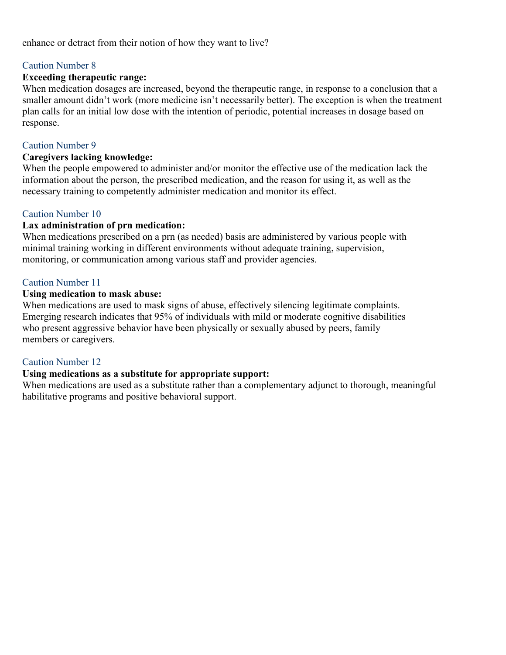#### enhance or detract from their notion of how they want to live?

#### Caution Number 8

#### **Exceeding therapeutic range:**

When medication dosages are increased, beyond the therapeutic range, in response to a conclusion that a smaller amount didn't work (more medicine isn't necessarily better). The exception is when the treatment plan calls for an initial low dose with the intention of periodic, potential increases in dosage based on response.

#### Caution Number 9

#### **Caregivers lacking knowledge:**

When the people empowered to administer and/or monitor the effective use of the medication lack the information about the person, the prescribed medication, and the reason for using it, as well as the necessary training to competently administer medication and monitor its effect.

#### Caution Number 10

#### **Lax administration of prn medication:**

When medications prescribed on a prn (as needed) basis are administered by various people with minimal training working in different environments without adequate training, supervision, monitoring, or communication among various staff and provider agencies.

#### Caution Number 11

#### **Using medication to mask abuse:**

When medications are used to mask signs of abuse, effectively silencing legitimate complaints. Emerging research indicates that 95% of individuals with mild or moderate cognitive disabilities who present aggressive behavior have been physically or sexually abused by peers, family members or caregivers.

#### Caution Number 12

#### **Using medications as a substitute for appropriate support:**

When medications are used as a substitute rather than a complementary adjunct to thorough, meaningful habilitative programs and positive behavioral support.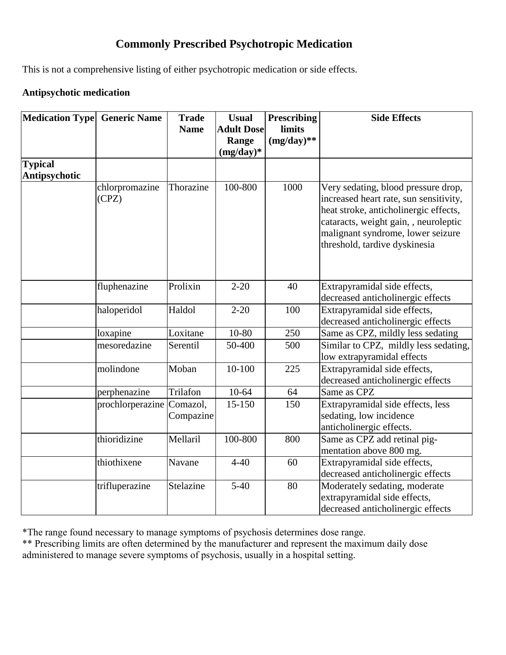# **Commonly Prescribed Psychotropic Medication**

This is not a comprehensive listing of either psychotropic medication or side effects.

### **Antipsychotic medication**

| Medication Type Generic Name |                  | <b>Trade</b> | <b>Usual</b>      | <b>Prescribing</b> | <b>Side Effects</b>                    |
|------------------------------|------------------|--------------|-------------------|--------------------|----------------------------------------|
|                              |                  | <b>Name</b>  | <b>Adult Dose</b> | limits             |                                        |
|                              |                  |              | Range             | $(mg/day)**$       |                                        |
|                              |                  |              | $(mg/day)*$       |                    |                                        |
| <b>Typical</b>               |                  |              |                   |                    |                                        |
| <b>Antipsychotic</b>         |                  |              |                   |                    |                                        |
|                              | chlorpromazine   | Thorazine    | 100-800           | 1000               | Very sedating, blood pressure drop,    |
|                              | (CPZ)            |              |                   |                    | increased heart rate, sun sensitivity, |
|                              |                  |              |                   |                    | heat stroke, anticholinergic effects,  |
|                              |                  |              |                   |                    | cataracts, weight gain, , neuroleptic  |
|                              |                  |              |                   |                    | malignant syndrome, lower seizure      |
|                              |                  |              |                   |                    | threshold, tardive dyskinesia          |
|                              |                  |              |                   |                    |                                        |
|                              |                  |              |                   |                    |                                        |
|                              | fluphenazine     | Prolixin     | $2 - 20$          | 40                 | Extrapyramidal side effects,           |
|                              |                  |              |                   |                    | decreased anticholinergic effects      |
|                              | haloperidol      | Haldol       | $2 - 20$          | 100                | Extrapyramidal side effects,           |
|                              |                  |              |                   |                    | decreased anticholinergic effects      |
|                              | loxapine         | Loxitane     | 10-80             | 250                | Same as CPZ, mildly less sedating      |
|                              | mesoredazine     | Serentil     | 50-400            | 500                | Similar to CPZ, mildly less sedating,  |
|                              |                  |              |                   |                    | low extrapyramidal effects             |
|                              | molindone        | Moban        | $10-100$          | 225                | Extrapyramidal side effects,           |
|                              |                  |              |                   |                    | decreased anticholinergic effects      |
|                              | perphenazine     | Trilafon     | $10-64$           | 64                 | Same as CPZ                            |
|                              | prochlorperazine | Comazol,     | 15-150            | 150                | Extrapyramidal side effects, less      |
|                              |                  | Compazine    |                   |                    | sedating, low incidence                |
|                              |                  |              |                   |                    | anticholinergic effects.               |
|                              | thioridizine     | Mellaril     | 100-800           | 800                | Same as CPZ add retinal pig-           |
|                              |                  |              |                   |                    | mentation above 800 mg.                |
|                              | thiothixene      | Navane       | $4 - 40$          | 60                 | Extrapyramidal side effects,           |
|                              |                  |              |                   |                    | decreased anticholinergic effects      |
|                              | trifluperazine   | Stelazine    | $5-40$            | 80                 | Moderately sedating, moderate          |
|                              |                  |              |                   |                    | extrapyramidal side effects,           |
|                              |                  |              |                   |                    | decreased anticholinergic effects      |

\*The range found necessary to manage symptoms of psychosis determines dose range.

\*\* Prescribing limits are often determined by the manufacturer and represent the maximum daily dose administered to manage severe symptoms of psychosis, usually in a hospital setting.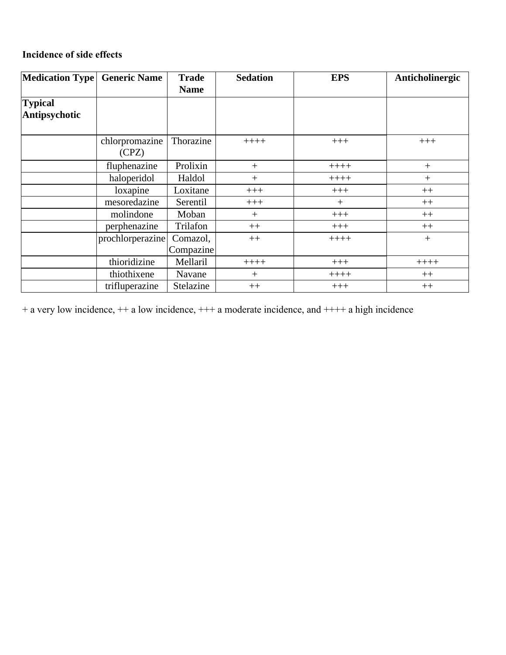# **Incidence of side effects**

| Medication Type   Generic Name |                  | <b>Trade</b> | <b>Sedation</b> | <b>EPS</b> | Anticholinergic |
|--------------------------------|------------------|--------------|-----------------|------------|-----------------|
|                                |                  | <b>Name</b>  |                 |            |                 |
| <b>Typical</b>                 |                  |              |                 |            |                 |
| Antipsychotic                  |                  |              |                 |            |                 |
|                                |                  |              |                 |            |                 |
|                                | chlorpromazine   | Thorazine    | $+++++$         | $+++$      | $+++$           |
|                                | (CPZ)            |              |                 |            |                 |
|                                | fluphenazine     | Prolixin     | $+$             | $++++-$    | $+$             |
|                                | haloperidol      | Haldol       | $+$             | $++++-$    | $+$             |
|                                | loxapine         | Loxitane     | $+++$           | $+++$      | $++$            |
|                                | mesoredazine     | Serentil     | $+++$           | $^{+}$     | $++$            |
|                                | molindone        | Moban        | $^{+}$          | $+++$      | $++$            |
|                                | perphenazine     | Trilafon     | $++$            | $+++$      | $++$            |
|                                | prochlorperazine | Comazol,     | $++$            | $++++-$    | $+$             |
|                                |                  | Compazine    |                 |            |                 |
|                                | thioridizine     | Mellaril     | $+++++$         | $+++$      | $++++-$         |
|                                | thiothixene      | Navane       | $+$             | $++++-$    | $++$            |
|                                | trifluperazine   | Stelazine    | $++$            | $+++$      | $++$            |

+ a very low incidence, ++ a low incidence, +++ a moderate incidence, and ++++ a high incidence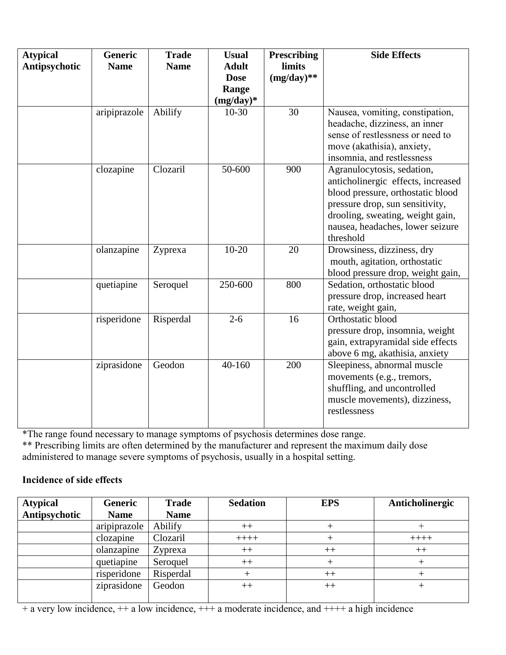| <b>Atypical</b><br>Antipsychotic | <b>Generic</b><br><b>Name</b> | <b>Trade</b><br><b>Name</b> | <b>Usual</b><br><b>Adult</b><br><b>Dose</b><br>Range<br>$(mg/day)*$ | <b>Prescribing</b><br>limits<br>$(mg/day)**$ | <b>Side Effects</b>                                                                                                                                                                                                           |
|----------------------------------|-------------------------------|-----------------------------|---------------------------------------------------------------------|----------------------------------------------|-------------------------------------------------------------------------------------------------------------------------------------------------------------------------------------------------------------------------------|
|                                  | aripiprazole                  | Abilify                     | $10-30$                                                             | 30                                           | Nausea, vomiting, constipation,<br>headache, dizziness, an inner<br>sense of restlessness or need to<br>move (akathisia), anxiety,<br>insomnia, and restlessness                                                              |
|                                  | clozapine                     | Clozaril                    | 50-600                                                              | 900                                          | Agranulocytosis, sedation,<br>anticholinergic effects, increased<br>blood pressure, orthostatic blood<br>pressure drop, sun sensitivity,<br>drooling, sweating, weight gain,<br>nausea, headaches, lower seizure<br>threshold |
|                                  | olanzapine                    | Zyprexa                     | $10-20$                                                             | 20                                           | Drowsiness, dizziness, dry<br>mouth, agitation, orthostatic<br>blood pressure drop, weight gain,                                                                                                                              |
|                                  | quetiapine                    | Seroquel                    | 250-600                                                             | 800                                          | Sedation, orthostatic blood<br>pressure drop, increased heart<br>rate, weight gain,                                                                                                                                           |
|                                  | risperidone                   | Risperdal                   | $2 - 6$                                                             | 16                                           | Orthostatic blood<br>pressure drop, insomnia, weight<br>gain, extrapyramidal side effects<br>above 6 mg, akathisia, anxiety                                                                                                   |
|                                  | ziprasidone                   | Geodon                      | 40-160                                                              | 200                                          | Sleepiness, abnormal muscle<br>movements (e.g., tremors,<br>shuffling, and uncontrolled<br>muscle movements), dizziness,<br>restlessness                                                                                      |

\*The range found necessary to manage symptoms of psychosis determines dose range. \*\* Prescribing limits are often determined by the manufacturer and represent the maximum daily dose administered to manage severe symptoms of psychosis, usually in a hospital setting.

#### **Incidence of side effects**

| <b>Atypical</b> | <b>Generic</b> | <b>Trade</b> | <b>Sedation</b> | <b>EPS</b> | Anticholinergic |
|-----------------|----------------|--------------|-----------------|------------|-----------------|
| Antipsychotic   | <b>Name</b>    | <b>Name</b>  |                 |            |                 |
|                 | aripiprazole   | Abilify      | $++$            |            |                 |
|                 | clozapine      | Clozaril     | $+++++$         |            | $+++++$         |
|                 | olanzapine     | Zyprexa      | $++$            | $^{++}$    | $++$            |
|                 | quetiapine     | Seroquel     | $++$            |            |                 |
|                 | risperidone    | Risperdal    |                 | $^{++}$    |                 |
|                 | ziprasidone    | Geodon       | $++$            | $++$       |                 |
|                 |                |              |                 |            |                 |

+ a very low incidence, ++ a low incidence, +++ a moderate incidence, and ++++ a high incidence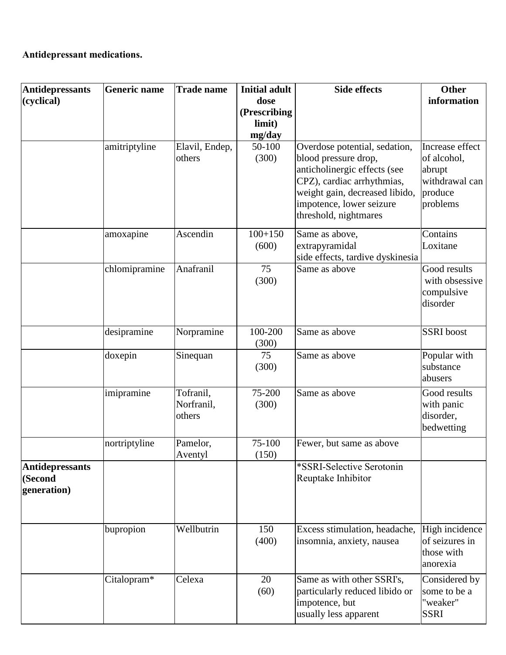## **Antidepressant medications.**

| <b>Antidepressants</b> | <b>Generic name</b> | <b>Trade name</b>   | <b>Initial adult</b> | <b>Side effects</b>                                          | <b>Other</b>                  |
|------------------------|---------------------|---------------------|----------------------|--------------------------------------------------------------|-------------------------------|
| (cyclical)             |                     |                     | dose<br>(Prescribing |                                                              | information                   |
|                        |                     |                     | limit)               |                                                              |                               |
|                        |                     |                     | mg/day               |                                                              |                               |
|                        | amitriptyline       | Elavil, Endep,      | 50-100               | Overdose potential, sedation,                                | Increase effect               |
|                        |                     | others              | (300)                | blood pressure drop,                                         | of alcohol,                   |
|                        |                     |                     |                      | anticholinergic effects (see                                 | abrupt                        |
|                        |                     |                     |                      | CPZ), cardiac arrhythmias,                                   | withdrawal can                |
|                        |                     |                     |                      | weight gain, decreased libido,<br>impotence, lower seizure   | produce<br>problems           |
|                        |                     |                     |                      | threshold, nightmares                                        |                               |
|                        | amoxapine           | Ascendin            | $100+150$            | Same as above,                                               | Contains                      |
|                        |                     |                     | (600)                | extrapyramidal<br>side effects, tardive dyskinesia           | Loxitane                      |
|                        | chlomipramine       | Anafranil           | 75                   | Same as above                                                | Good results                  |
|                        |                     |                     | (300)                |                                                              | with obsessive                |
|                        |                     |                     |                      |                                                              | compulsive<br>disorder        |
|                        |                     |                     |                      |                                                              |                               |
|                        | desipramine         | Norpramine          | 100-200<br>(300)     | Same as above                                                | <b>SSRI</b> boost             |
|                        | doxepin             | Sinequan            | 75                   | Same as above                                                | Popular with<br>substance     |
|                        |                     |                     | (300)                |                                                              | abusers                       |
|                        | imipramine          | Tofranil,           | 75-200               | Same as above                                                | Good results                  |
|                        |                     | Norfranil,          | (300)                |                                                              | with panic                    |
|                        |                     | others              |                      |                                                              | disorder,                     |
|                        |                     |                     |                      |                                                              | bedwetting                    |
|                        | nortriptyline       | Pamelor,<br>Aventyl | 75-100<br>(150)      | Fewer, but same as above                                     |                               |
| <b>Antidepressants</b> |                     |                     |                      | *SSRI-Selective Serotonin                                    |                               |
| (Second                |                     |                     |                      | Reuptake Inhibitor                                           |                               |
| generation)            |                     |                     |                      |                                                              |                               |
|                        | bupropion           | Wellbutrin          | 150                  | Excess stimulation, headache,                                | High incidence                |
|                        |                     |                     | (400)                | insomnia, anxiety, nausea                                    | of seizures in<br>those with  |
|                        |                     |                     |                      |                                                              | anorexia                      |
|                        | Citalopram*         | Celexa              | 20<br>(60)           | Same as with other SSRI's,<br>particularly reduced libido or | Considered by<br>some to be a |
|                        |                     |                     |                      | impotence, but<br>usually less apparent                      | "weaker"<br><b>SSRI</b>       |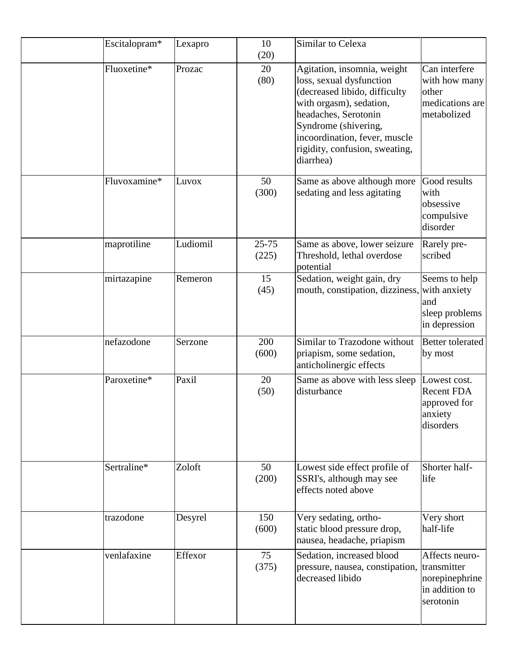| Escitalopram* | Lexapro  | 10<br>(20)         | Similar to Celexa                                                                                                                                                                                                                                   |                                                                                |
|---------------|----------|--------------------|-----------------------------------------------------------------------------------------------------------------------------------------------------------------------------------------------------------------------------------------------------|--------------------------------------------------------------------------------|
| Fluoxetine*   | Prozac   | 20<br>(80)         | Agitation, insomnia, weight<br>loss, sexual dysfunction<br>(decreased libido, difficulty<br>with orgasm), sedation,<br>headaches, Serotonin<br>Syndrome (shivering,<br>incoordination, fever, muscle<br>rigidity, confusion, sweating,<br>diarrhea) | Can interfere<br>with how many<br>other<br>medications are<br>metabolized      |
| Fluvoxamine*  | Luvox    | 50<br>(300)        | Same as above although more<br>sedating and less agitating                                                                                                                                                                                          | Good results<br>with<br>obsessive<br>compulsive<br>disorder                    |
| maprotiline   | Ludiomil | $25 - 75$<br>(225) | Same as above, lower seizure<br>Threshold, lethal overdose<br>potential                                                                                                                                                                             | Rarely pre-<br>scribed                                                         |
| mirtazapine   | Remeron  | 15<br>(45)         | Sedation, weight gain, dry<br>mouth, constipation, dizziness,                                                                                                                                                                                       | Seems to help<br>with anxiety<br>and<br>sleep problems<br>in depression        |
| nefazodone    | Serzone  | 200<br>(600)       | Similar to Trazodone without<br>priapism, some sedation,<br>anticholinergic effects                                                                                                                                                                 | <b>Better tolerated</b><br>by most                                             |
| Paroxetine*   | Paxil    | 20<br>(50)         | Same as above with less sleep<br>disturbance                                                                                                                                                                                                        | Lowest cost.<br><b>Recent FDA</b><br>approved for<br>anxiety<br>disorders      |
| Sertraline*   | Zoloft   | 50<br>(200)        | Lowest side effect profile of<br>SSRI's, although may see<br>effects noted above                                                                                                                                                                    | Shorter half-<br>life                                                          |
| trazodone     | Desyrel  | 150<br>(600)       | Very sedating, ortho-<br>static blood pressure drop,<br>nausea, headache, priapism                                                                                                                                                                  | Very short<br>half-life                                                        |
| venlafaxine   | Effexor  | 75<br>(375)        | Sedation, increased blood<br>pressure, nausea, constipation,<br>decreased libido                                                                                                                                                                    | Affects neuro-<br>transmitter<br>norepinephrine<br>in addition to<br>serotonin |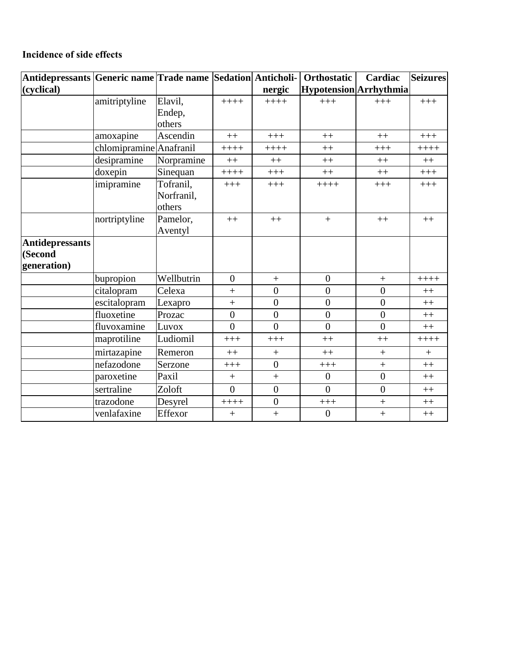### **Incidence of side effects**

| Antidepressants Generic name Trade name Sedation Anticholi- |                         |            |                |                  | <b>Orthostatic</b>     | Cardiac          | <b>Seizures</b> |
|-------------------------------------------------------------|-------------------------|------------|----------------|------------------|------------------------|------------------|-----------------|
| (cyclical)                                                  |                         |            |                | nergic           | Hypotension Arrhythmia |                  |                 |
|                                                             | amitriptyline           | Elavil,    | $++++$         | $+++++$          | $+++$                  | $+++$            | $+++$           |
|                                                             |                         | Endep,     |                |                  |                        |                  |                 |
|                                                             |                         | others     |                |                  |                        |                  |                 |
|                                                             | amoxapine               | Ascendin   | $++$           | $+++$            | $++$                   | $++$             | $+++$           |
|                                                             | chlomipramine Anafranil |            | $++++$         | $+++++$          | $++$                   | $+++$            | $+++++$         |
|                                                             | desipramine             | Norpramine | $++$           | $++$             | $++$                   | $++$             | $++$            |
|                                                             | doxepin                 | Sinequan   | $+++++$        | $+++$            | $++$                   | $++$             | $+++$           |
|                                                             | imipramine              | Tofranil,  | $+++$          | $+++$            | $+++++$                | $+++$            | $+++$           |
|                                                             |                         | Norfranil, |                |                  |                        |                  |                 |
|                                                             |                         | others     |                |                  |                        |                  |                 |
|                                                             | nortriptyline           | Pamelor,   | $++$           | $++$             | $+$                    | $++$             | $++$            |
|                                                             |                         | Aventyl    |                |                  |                        |                  |                 |
| <b>Antidepressants</b>                                      |                         |            |                |                  |                        |                  |                 |
| (Second                                                     |                         |            |                |                  |                        |                  |                 |
| generation)                                                 |                         |            |                |                  |                        |                  |                 |
|                                                             | bupropion               | Wellbutrin | $\overline{0}$ | $\boldsymbol{+}$ | $\boldsymbol{0}$       | $\boldsymbol{+}$ | $+++++$         |
|                                                             | citalopram              | Celexa     | $^{+}$         | $\overline{0}$   | $\overline{0}$         | $\overline{0}$   | $++$            |
|                                                             | escitalopram            | Lexapro    | $\ddot{}$      | $\overline{0}$   | $\boldsymbol{0}$       | $\overline{0}$   | $++$            |
|                                                             | fluoxetine              | Prozac     | $\overline{0}$ | $\boldsymbol{0}$ | $\boldsymbol{0}$       | $\overline{0}$   | $++$            |
|                                                             | fluvoxamine             | Luvox      | $\theta$       | $\theta$         | $\overline{0}$         | $\overline{0}$   | $++$            |
|                                                             | maprotiline             | Ludiomil   | $+++$          | $+++$            | $++$                   | $++$             | $+++++$         |
|                                                             | mirtazapine             | Remeron    | $++$           | $+$              | $++$                   | $^{+}$           | $+$             |
|                                                             | nefazodone              | Serzone    | $+++$          | $\overline{0}$   | $+++$                  | $\ddot{}$        | $++$            |
|                                                             | paroxetine              | Paxil      | $^{+}$         |                  | $\mathbf{0}$           | $\overline{0}$   | $++$            |
|                                                             | sertraline              | Zoloft     | $\theta$       | $\boldsymbol{0}$ | $\overline{0}$         | $\overline{0}$   | $++$            |
|                                                             | trazodone               | Desyrel    | $+++++$        | $\overline{0}$   | $+++$                  | $\ddot{}$        | $++$            |
|                                                             | venlafaxine             | Effexor    | $+$            | $+$              | $\overline{0}$         | $\ddot{}$        | $++$            |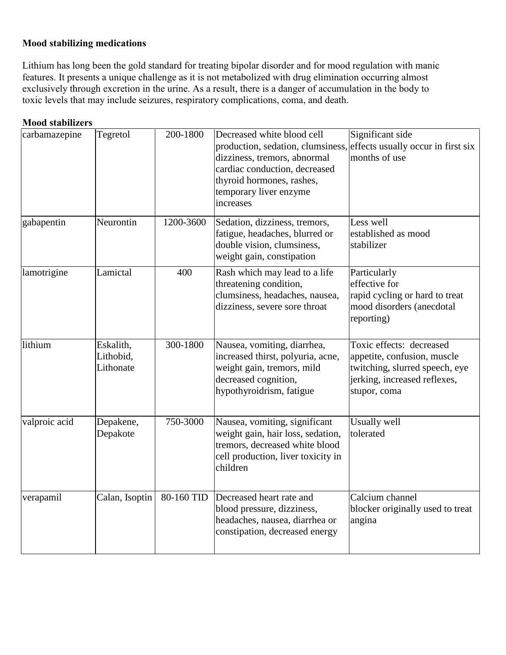### **Mood stabilizing medications**

Lithium has long been the gold standard for treating bipolar disorder and for mood regulation with manic features. It presents a unique challenge as it is not metabolized with drug elimination occurring almost exclusively through excretion in the urine. As a result, there is a danger of accumulation in the body to toxic levels that may include seizures, respiratory complications, coma, and death.

| <b>Mood stabilizers</b> |                                     |            |                                                                                                                                                                                                                                         |                                                                                                                                           |
|-------------------------|-------------------------------------|------------|-----------------------------------------------------------------------------------------------------------------------------------------------------------------------------------------------------------------------------------------|-------------------------------------------------------------------------------------------------------------------------------------------|
| carbamazepine           | Tegretol                            | 200-1800   | Decreased white blood cell<br>production, sedation, clumsiness, effects usually occur in first six<br>dizziness, tremors, abnormal<br>cardiac conduction, decreased<br>thyroid hormones, rashes,<br>temporary liver enzyme<br>increases | Significant side<br>months of use                                                                                                         |
| gabapentin              | Neurontin                           | 1200-3600  | Sedation, dizziness, tremors,<br>fatigue, headaches, blurred or<br>double vision, clumsiness,<br>weight gain, constipation                                                                                                              | Less well<br>established as mood<br>stabilizer                                                                                            |
| lamotrigine             | Lamictal                            | 400        | Rash which may lead to a life<br>threatening condition,<br>clumsiness, headaches, nausea,<br>dizziness, severe sore throat                                                                                                              | Particularly<br>effective for<br>rapid cycling or hard to treat<br>mood disorders (anecdotal<br>reporting)                                |
| lithium                 | Eskalith,<br>Lithobid,<br>Lithonate | 300-1800   | Nausea, vomiting, diarrhea,<br>increased thirst, polyuria, acne,<br>weight gain, tremors, mild<br>decreased cognition,<br>hypothyroidrism, fatigue                                                                                      | Toxic effects: decreased<br>appetite, confusion, muscle<br>twitching, slurred speech, eye<br>jerking, increased reflexes,<br>stupor, coma |
| valproic acid           | Depakene,<br>Depakote               | 750-3000   | Nausea, vomiting, significant<br>weight gain, hair loss, sedation,<br>tremors, decreased white blood<br>cell production, liver toxicity in<br>children                                                                                  | Usually well<br>tolerated                                                                                                                 |
| verapamil               | Calan, Isoptin                      | 80-160 TID | Decreased heart rate and<br>blood pressure, dizziness,<br>headaches, nausea, diarrhea or<br>constipation, decreased energy                                                                                                              | Calcium channel<br>blocker originally used to treat<br>angina                                                                             |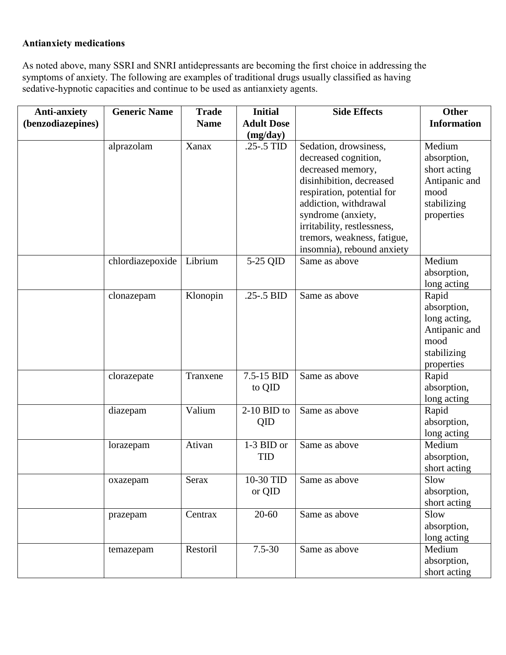### **Antianxiety medications**

As noted above, many SSRI and SNRI antidepressants are becoming the first choice in addressing the symptoms of anxiety. The following are examples of traditional drugs usually classified as having sedative-hypnotic capacities and continue to be used as antianxiety agents.

| <b>Anti-anxiety</b> | <b>Generic Name</b> | <b>Trade</b> | <b>Initial</b>    | <b>Side Effects</b>         | <b>Other</b>         |
|---------------------|---------------------|--------------|-------------------|-----------------------------|----------------------|
| (benzodiazepines)   |                     | <b>Name</b>  | <b>Adult Dose</b> |                             | <b>Information</b>   |
|                     |                     |              | (mg/day)          |                             |                      |
|                     | alprazolam          | Xanax        | $.25 - .5$ TID    | Sedation, drowsiness,       | Medium               |
|                     |                     |              |                   | decreased cognition,        | absorption,          |
|                     |                     |              |                   | decreased memory,           | short acting         |
|                     |                     |              |                   | disinhibition, decreased    | Antipanic and        |
|                     |                     |              |                   | respiration, potential for  | mood                 |
|                     |                     |              |                   | addiction, withdrawal       | stabilizing          |
|                     |                     |              |                   | syndrome (anxiety,          | properties           |
|                     |                     |              |                   | irritability, restlessness, |                      |
|                     |                     |              |                   | tremors, weakness, fatigue, |                      |
|                     |                     |              |                   | insomnia), rebound anxiety  |                      |
|                     | chlordiazepoxide    | Librium      | 5-25 QID          | Same as above               | Medium               |
|                     |                     |              |                   |                             | absorption,          |
|                     |                     |              | $.25 - .5$ BID    | Same as above               | long acting          |
|                     | clonazepam          | Klonopin     |                   |                             | Rapid<br>absorption, |
|                     |                     |              |                   |                             | long acting,         |
|                     |                     |              |                   |                             | Antipanic and        |
|                     |                     |              |                   |                             | mood                 |
|                     |                     |              |                   |                             | stabilizing          |
|                     |                     |              |                   |                             | properties           |
|                     | clorazepate         | Tranxene     | 7.5-15 BID        | Same as above               | Rapid                |
|                     |                     |              | to QID            |                             | absorption,          |
|                     |                     |              |                   |                             | long acting          |
|                     | diazepam            | Valium       | $2-10$ BID to     | Same as above               | Rapid                |
|                     |                     |              | QID               |                             | absorption,          |
|                     |                     |              |                   |                             | long acting          |
|                     | lorazepam           | Ativan       | 1-3 BID or        | Same as above               | Medium               |
|                     |                     |              | <b>TID</b>        |                             | absorption,          |
|                     |                     |              |                   |                             | short acting         |
|                     | oxazepam            | Serax        | 10-30 TID         | Same as above               | Slow                 |
|                     |                     |              | or QID            |                             | absorption,          |
|                     |                     |              |                   |                             | short acting         |
|                     | prazepam            | Centrax      | $20 - 60$         | Same as above               | Slow                 |
|                     |                     |              |                   |                             | absorption,          |
|                     |                     |              |                   |                             | long acting          |
|                     | temazepam           | Restoril     | $7.5 - 30$        | Same as above               | Medium               |
|                     |                     |              |                   |                             | absorption,          |
|                     |                     |              |                   |                             | short acting         |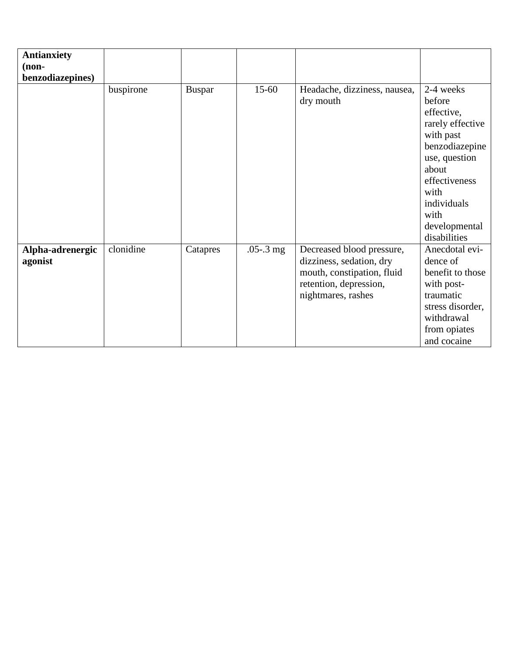| <b>Antianxiety</b> |           |               |               |                              |                  |
|--------------------|-----------|---------------|---------------|------------------------------|------------------|
| $non-$             |           |               |               |                              |                  |
| benzodiazepines)   |           |               |               |                              |                  |
|                    | buspirone | <b>Buspar</b> | $15-60$       | Headache, dizziness, nausea, | 2-4 weeks        |
|                    |           |               |               | dry mouth                    | before           |
|                    |           |               |               |                              | effective,       |
|                    |           |               |               |                              | rarely effective |
|                    |           |               |               |                              | with past        |
|                    |           |               |               |                              | benzodiazepine   |
|                    |           |               |               |                              | use, question    |
|                    |           |               |               |                              | about            |
|                    |           |               |               |                              | effectiveness    |
|                    |           |               |               |                              | with             |
|                    |           |               |               |                              | individuals      |
|                    |           |               |               |                              | with             |
|                    |           |               |               |                              | developmental    |
|                    |           |               |               |                              | disabilities     |
| Alpha-adrenergic   | clonidine | Catapres      | $.05 - .3$ mg | Decreased blood pressure,    | Anecdotal evi-   |
| agonist            |           |               |               | dizziness, sedation, dry     | dence of         |
|                    |           |               |               | mouth, constipation, fluid   | benefit to those |
|                    |           |               |               | retention, depression,       | with post-       |
|                    |           |               |               | nightmares, rashes           | traumatic        |
|                    |           |               |               |                              | stress disorder, |
|                    |           |               |               |                              | withdrawal       |
|                    |           |               |               |                              | from opiates     |
|                    |           |               |               |                              | and cocaine      |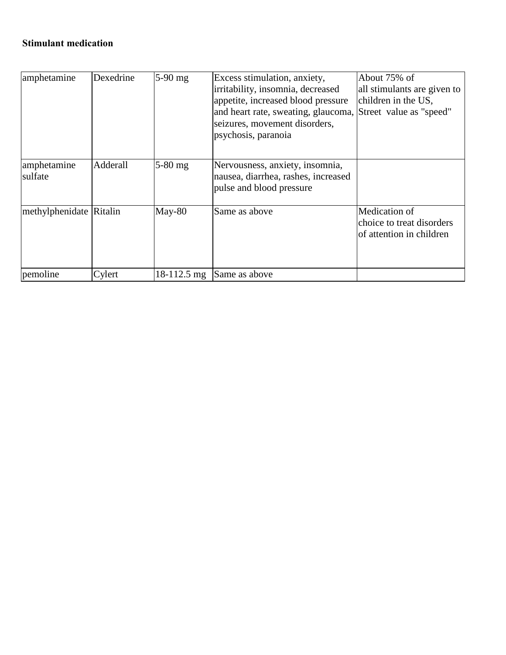# **Stimulant medication**

| amphetamine             | Dexedrine | $5-90$ mg     | Excess stimulation, anxiety,<br>irritability, insomnia, decreased<br>appetite, increased blood pressure<br>and heart rate, sweating, glaucoma, Street value as "speed"<br>seizures, movement disorders,<br>psychosis, paranoia | About 75% of<br>all stimulants are given to<br>children in the US,     |
|-------------------------|-----------|---------------|--------------------------------------------------------------------------------------------------------------------------------------------------------------------------------------------------------------------------------|------------------------------------------------------------------------|
| amphetamine<br>sulfate  | Adderall  | $5-80$ mg     | Nervousness, anxiety, insomnia,<br>nausea, diarrhea, rashes, increased<br>pulse and blood pressure                                                                                                                             |                                                                        |
| methylphenidate Ritalin |           | May-80        | Same as above                                                                                                                                                                                                                  | Medication of<br>choice to treat disorders<br>of attention in children |
| pemoline                | Cylert    | $18-112.5$ mg | Same as above                                                                                                                                                                                                                  |                                                                        |